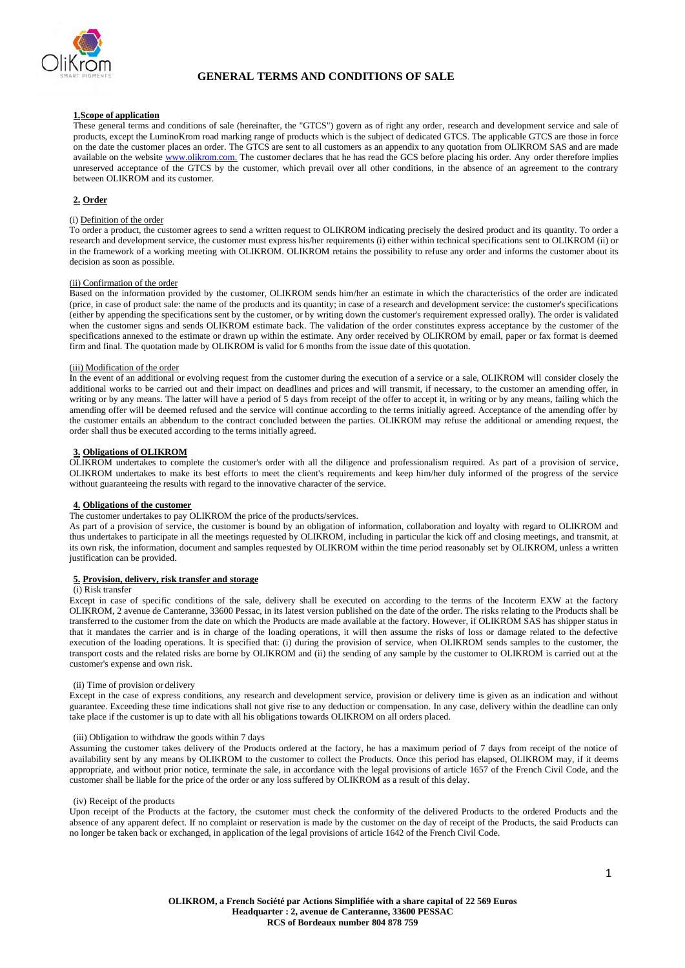

# **GENERAL TERMS AND CONDITIONS OF SALE**

## **1.Scope of application**

These general terms and conditions of sale (hereinafter, the "GTCS") govern as of right any order, research and development service and sale of products, except the LuminoKrom road marking range of products which is the subject of dedicated GTCS. The applicable GTCS are those in force on the date the customer places an order. The GTCS are sent to all customers as an appendix to any quotation from OLIKROM SAS and are made available on the websit[e www.olikrom.com.](http://www.olikrom.com./) The customer declares that he has read the GCS before placing his order. Any order therefore implies unreserved acceptance of the GTCS by the customer, which prevail over all other conditions, in the absence of an agreement to the contrary between OLIKROM and its customer.

# **2. Order**

# (i) Definition of the order

To order a product, the customer agrees to send a written request to OLIKROM indicating precisely the desired product and its quantity. To order a research and development service, the customer must express his/her requirements (i) either within technical specifications sent to OLIKROM (ii) or in the framework of a working meeting with OLIKROM. OLIKROM retains the possibility to refuse any order and informs the customer about its decision as soon as possible.

#### (ii) Confirmation of the order

Based on the information provided by the customer, OLIKROM sends him/her an estimate in which the characteristics of the order are indicated (price, in case of product sale: the name of the products and its quantity; in case of a research and development service: the customer's specifications (either by appending the specifications sent by the customer, or by writing down the customer's requirement expressed orally). The order is validated when the customer signs and sends OLIKROM estimate back. The validation of the order constitutes express acceptance by the customer of the specifications annexed to the estimate or drawn up within the estimate. Any order received by OLIKROM by email, paper or fax format is deemed firm and final. The quotation made by OLIKROM is valid for 6 months from the issue date of this quotation.

#### (iii) Modification of the order

In the event of an additional or evolving request from the customer during the execution of a service or a sale, OLIKROM will consider closely the additional works to be carried out and their impact on deadlines and prices and will transmit, if necessary, to the customer an amending offer, in writing or by any means. The latter will have a period of 5 days from receipt of the offer to accept it, in writing or by any means, failing which the amending offer will be deemed refused and the service will continue according to the terms initially agreed. Acceptance of the amending offer by the customer entails an abbendum to the contract concluded between the parties. OLIKROM may refuse the additional or amending request, the order shall thus be executed according to the terms initially agreed.

#### **3. Obligations of OLIKROM**

OLIKROM undertakes to complete the customer's order with all the diligence and professionalism required. As part of a provision of service, OLIKROM undertakes to make its best efforts to meet the client's requirements and keep him/her duly informed of the progress of the service without guaranteeing the results with regard to the innovative character of the service.

# **4. Obligations of the customer**

## The customer undertakes to pay OLIKROM the price of the products/services.

As part of a provision of service, the customer is bound by an obligation of information, collaboration and loyalty with regard to OLIKROM and thus undertakes to participate in all the meetings requested by OLIKROM, including in particular the kick off and closing meetings, and transmit, at its own risk, the information, document and samples requested by OLIKROM within the time period reasonably set by OLIKROM, unless a written justification can be provided.

## **5. Provision, delivery, risk transfer and storage**

### (i) Risk transfer

Except in case of specific conditions of the sale, delivery shall be executed on according to the terms of the Incoterm EXW at the factory OLIKROM, 2 avenue de Canteranne, 33600 Pessac, in its latest version published on the date of the order. The risks relating to the Products shall be transferred to the customer from the date on which the Products are made available at the factory. However, if OLIKROM SAS has shipper status in that it mandates the carrier and is in charge of the loading operations, it will then assume the risks of loss or damage related to the defective execution of the loading operations. It is specified that: (i) during the provision of service, when OLIKROM sends samples to the customer, the transport costs and the related risks are borne by OLIKROM and (ii) the sending of any sample by the customer to OLIKROM is carried out at the customer's expense and own risk.

# (ii) Time of provision or delivery

Except in the case of express conditions, any research and development service, provision or delivery time is given as an indication and without guarantee. Exceeding these time indications shall not give rise to any deduction or compensation. In any case, delivery within the deadline can only take place if the customer is up to date with all his obligations towards OLIKROM on all orders placed.

#### (iii) Obligation to withdraw the goods within 7 days

Assuming the customer takes delivery of the Products ordered at the factory, he has a maximum period of 7 days from receipt of the notice of availability sent by any means by OLIKROM to the customer to collect the Products. Once this period has elapsed, OLIKROM may, if it deems appropriate, and without prior notice, terminate the sale, in accordance with the legal provisions of article 1657 of the French Civil Code, and the customer shall be liable for the price of the order or any loss suffered by OLIKROM as a result of this delay.

#### (iv) Receipt of the products

Upon receipt of the Products at the factory, the csutomer must check the conformity of the delivered Products to the ordered Products and the absence of any apparent defect. If no complaint or reservation is made by the customer on the day of receipt of the Products, the said Products can no longer be taken back or exchanged, in application of the legal provisions of article 1642 of the French Civil Code.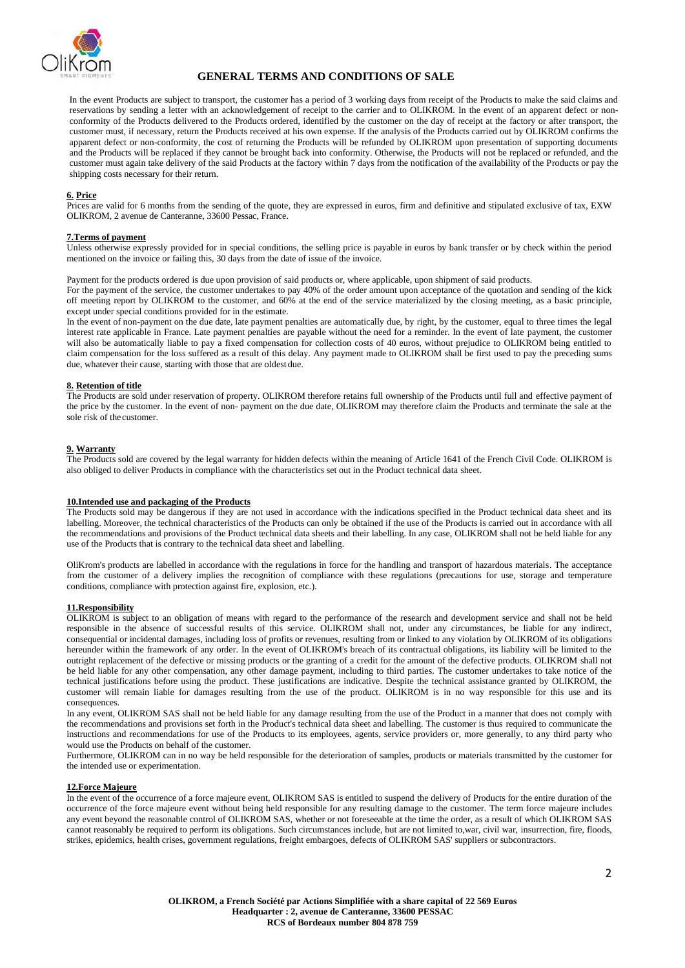

# **GENERAL TERMS AND CONDITIONS OF SALE**

In the event Products are subject to transport, the customer has a period of 3 working days from receipt of the Products to make the said claims and reservations by sending a letter with an acknowledgement of receipt to the carrier and to OLIKROM. In the event of an apparent defect or nonconformity of the Products delivered to the Products ordered, identified by the customer on the day of receipt at the factory or after transport, the customer must, if necessary, return the Products received at his own expense. If the analysis of the Products carried out by OLIKROM confirms the apparent defect or non-conformity, the cost of returning the Products will be refunded by OLIKROM upon presentation of supporting documents and the Products will be replaced if they cannot be brought back into conformity. Otherwise, the Products will not be replaced or refunded, and the customer must again take delivery of the said Products at the factory within 7 days from the notification of the availability of the Products or pay the shipping costs necessary for their return.

# **6. Price**

Prices are valid for 6 months from the sending of the quote, they are expressed in euros, firm and definitive and stipulated exclusive of tax, EXW OLIKROM, 2 avenue de Canteranne, 33600 Pessac, France.

# **7.Terms of payment**

Unless otherwise expressly provided for in special conditions, the selling price is payable in euros by bank transfer or by check within the period mentioned on the invoice or failing this, 30 days from the date of issue of the invoice.

Payment for the products ordered is due upon provision of said products or, where applicable, upon shipment of said products.

For the payment of the service, the customer undertakes to pay 40% of the order amount upon acceptance of the quotation and sending of the kick off meeting report by OLIKROM to the customer, and 60% at the end of the service materialized by the closing meeting, as a basic principle, except under special conditions provided for in the estimate.

In the event of non-payment on the due date, late payment penalties are automatically due, by right, by the customer, equal to three times the legal interest rate applicable in France. Late payment penalties are payable without the need for a reminder. In the event of late payment, the customer will also be automatically liable to pay a fixed compensation for collection costs of 40 euros, without prejudice to OLIKROM being entitled to claim compensation for the loss suffered as a result of this delay. Any payment made to OLIKROM shall be first used to pay the preceding sums due, whatever their cause, starting with those that are oldest due.

#### **8. Retention of title**

The Products are sold under reservation of property. OLIKROM therefore retains full ownership of the Products until full and effective payment of the price by the customer. In the event of non- payment on the due date, OLIKROM may therefore claim the Products and terminate the sale at the sole risk of the customer.

# **9. Warranty**

The Products sold are covered by the legal warranty for hidden defects within the meaning of Article 1641 of the French Civil Code. OLIKROM is also obliged to deliver Products in compliance with the characteristics set out in the Product technical data sheet.

#### **10.Intended use and packaging of the Products**

The Products sold may be dangerous if they are not used in accordance with the indications specified in the Product technical data sheet and its labelling. Moreover, the technical characteristics of the Products can only be obtained if the use of the Products is carried out in accordance with all the recommendations and provisions of the Product technical data sheets and their labelling. In any case, OLIKROM shall not be held liable for any use of the Products that is contrary to the technical data sheet and labelling.

OliKrom's products are labelled in accordance with the regulations in force for the handling and transport of hazardous materials. The acceptance from the customer of a delivery implies the recognition of compliance with these regulations (precautions for use, storage and temperature conditions, compliance with protection against fire, explosion, etc.).

#### **11.Responsibility**

OLIKROM is subject to an obligation of means with regard to the performance of the research and development service and shall not be held responsible in the absence of successful results of this service. OLIKROM shall not, under any circumstances, be liable for any indirect, consequential or incidental damages, including loss of profits or revenues, resulting from or linked to any violation by OLIKROM of its obligations hereunder within the framework of any order. In the event of OLIKROM's breach of its contractual obligations, its liability will be limited to the outright replacement of the defective or missing products or the granting of a credit for the amount of the defective products. OLIKROM shall not be held liable for any other compensation, any other damage payment, including to third parties. The customer undertakes to take notice of the technical justifications before using the product. These justifications are indicative. Despite the technical assistance granted by OLIKROM, the customer will remain liable for damages resulting from the use of the product. OLIKROM is in no way responsible for this use and its consequences.

In any event, OLIKROM SAS shall not be held liable for any damage resulting from the use of the Product in a manner that does not comply with the recommendations and provisions set forth in the Product's technical data sheet and labelling. The customer is thus required to communicate the instructions and recommendations for use of the Products to its employees, agents, service providers or, more generally, to any third party who would use the Products on behalf of the customer.

Furthermore, OLIKROM can in no way be held responsible for the deterioration of samples, products or materials transmitted by the customer for the intended use or experimentation.

## **12.Force Majeure**

In the event of the occurrence of a force majeure event, OLIKROM SAS is entitled to suspend the delivery of Products for the entire duration of the occurrence of the force majeure event without being held responsible for any resulting damage to the customer. The term force majeure includes any event beyond the reasonable control of OLIKROM SAS, whether or not foreseeable at the time the order, as a result of which OLIKROM SAS cannot reasonably be required to perform its obligations. Such circumstances include, but are not limited to,war, civil war, insurrection, fire, floods, strikes, epidemics, health crises, government regulations, freight embargoes, defects of OLIKROM SAS' suppliers or subcontractors.